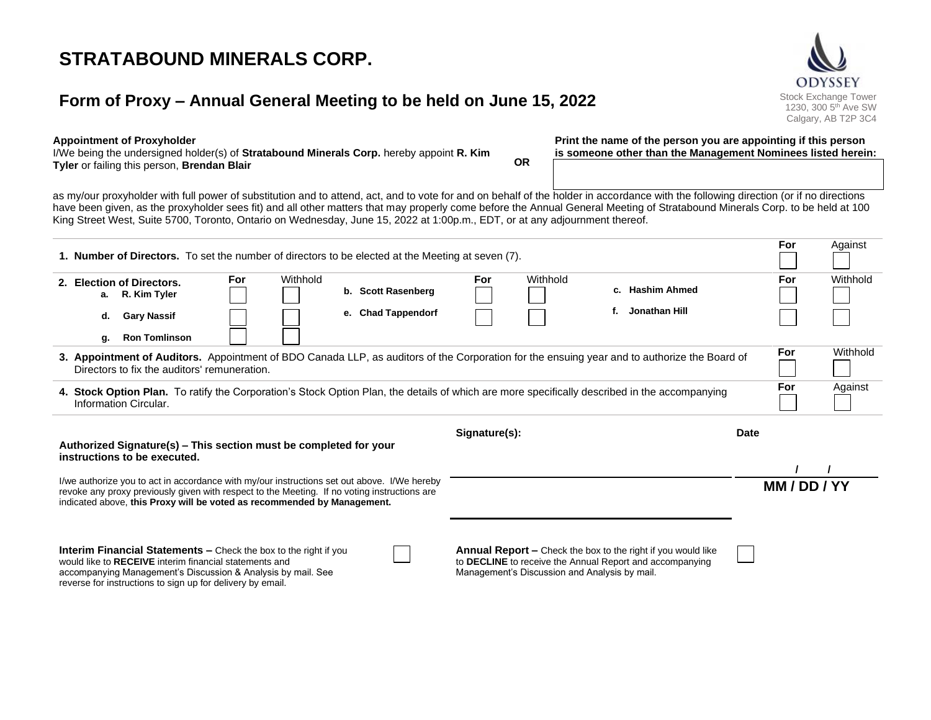# **STRATABOUND MINERALS CORP.**

## **Form of Proxy – Annual General Meeting to be held on June 15, 2022** Stock Exchange Tower



I/We being the undersigned holder(s) of **Stratabound Minerals Corp.** hereby appoint **R. Kim Tyler** or failing this person, **Brendan Blair OR** **Print the name of the person you are appointing if this person is someone other than the Management Nominees listed herein:**

as my/our proxyholder with full power of substitution and to attend, act, and to vote for and on behalf of the holder in accordance with the following direction (or if no directions have been given, as the proxyholder sees fit) and all other matters that may properly come before the Annual General Meeting of Stratabound Minerals Corp. to be held at 100 King Street West, Suite 5700, Toronto, Ontario on Wednesday, June 15, 2022 at 1:00p.m., EDT, or at any adjournment thereof.

| <b>1. Number of Directors.</b> To set the number of directors to be elected at the Meeting at seven (7).                                                                                                                                                               |                 |                    |               |                                               |                                                                                                                                 | For         | Against         |
|------------------------------------------------------------------------------------------------------------------------------------------------------------------------------------------------------------------------------------------------------------------------|-----------------|--------------------|---------------|-----------------------------------------------|---------------------------------------------------------------------------------------------------------------------------------|-------------|-----------------|
| 2. Election of Directors.<br>a. R. Kim Tyler                                                                                                                                                                                                                           | Withhold<br>For | b. Scott Rasenberg | For           | Withhold                                      | c. Hashim Ahmed                                                                                                                 | For         | Withhold        |
| <b>Gary Nassif</b><br>d.<br><b>Ron Tomlinson</b><br>g.                                                                                                                                                                                                                 |                 | e. Chad Tappendorf |               |                                               | Jonathan Hill<br>f.                                                                                                             |             |                 |
| 3. Appointment of Auditors. Appointment of BDO Canada LLP, as auditors of the Corporation for the ensuing year and to authorize the Board of<br>Directors to fix the auditors' remuneration.                                                                           |                 |                    |               |                                               |                                                                                                                                 |             | Withhold<br>For |
| 4. Stock Option Plan. To ratify the Corporation's Stock Option Plan, the details of which are more specifically described in the accompanying<br>Information Circular.                                                                                                 |                 |                    |               |                                               |                                                                                                                                 |             | Against         |
| Authorized Signature(s) - This section must be completed for your<br>instructions to be executed.                                                                                                                                                                      |                 |                    | Signature(s): |                                               |                                                                                                                                 | <b>Date</b> |                 |
| I/we authorize you to act in accordance with my/our instructions set out above. I/We hereby<br>revoke any proxy previously given with respect to the Meeting. If no voting instructions are<br>indicated above, this Proxy will be voted as recommended by Management. |                 |                    |               |                                               |                                                                                                                                 |             | MM/DD/YY        |
| <b>Interim Financial Statements –</b> Check the box to the right if you<br>would like to RECEIVE interim financial statements and<br>accompanying Management's Discussion & Analysis by mail. See<br>reverse for instructions to sign up for delivery by email.        |                 |                    |               | Management's Discussion and Analysis by mail. | <b>Annual Report - Check the box to the right if you would like</b><br>to DECLINE to receive the Annual Report and accompanying |             |                 |